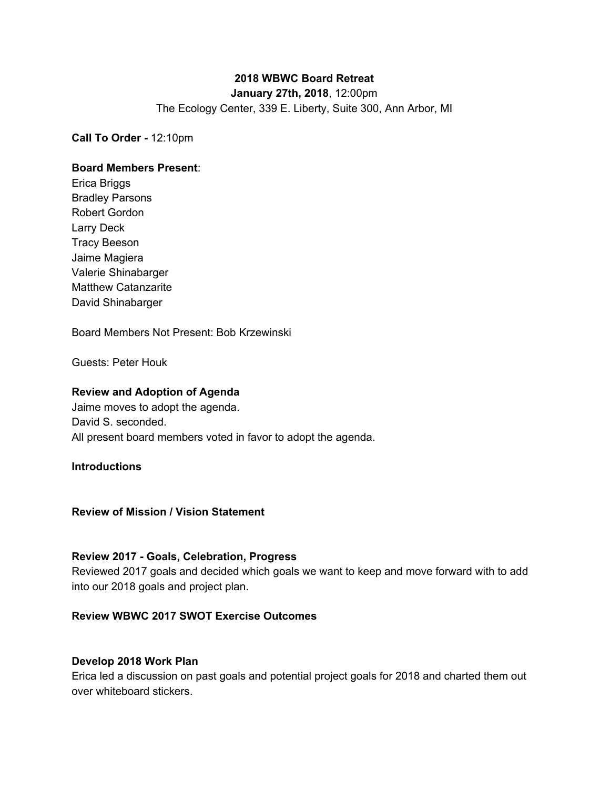## **2018 WBWC Board Retreat**

**January 27th, 2018**, 12:00pm

The Ecology Center, 339 E. Liberty, Suite 300, Ann Arbor, MI

**Call To Order -** 12:10pm

#### **Board Members Present**:

Erica Briggs Bradley Parsons Robert Gordon Larry Deck Tracy Beeson Jaime Magiera Valerie Shinabarger Matthew Catanzarite David Shinabarger

Board Members Not Present: Bob Krzewinski

Guests: Peter Houk

#### **Review and Adoption of Agenda**

Jaime moves to adopt the agenda. David S. seconded. All present board members voted in favor to adopt the agenda.

## **Introductions**

## **Review of Mission / Vision Statement**

#### **Review 2017 - Goals, Celebration, Progress**

Reviewed 2017 goals and decided which goals we want to keep and move forward with to add into our 2018 goals and project plan.

### **Review WBWC 2017 SWOT Exercise Outcomes**

#### **Develop 2018 Work Plan**

Erica led a discussion on past goals and potential project goals for 2018 and charted them out over whiteboard stickers.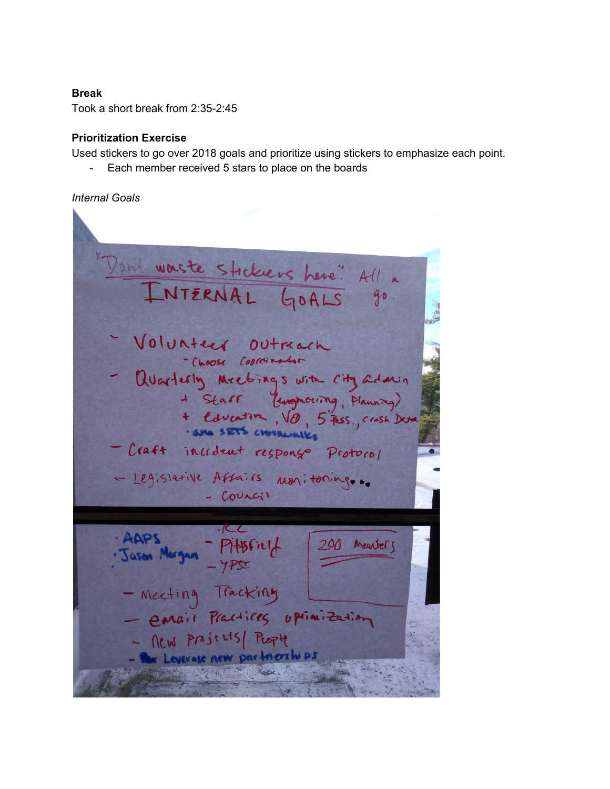## **Break**

Took a short break from 2:35-2:45

#### **Prioritization Exercise**

Used stickers to go over 2018 goals and prioritize using stickers to emphasize each point.

Each member received 5 stars to place on the boards

#### *Internal Goals*

Dont waste stickers here" All a Volunteer outreach - Choose Coordinator Avarterly Meetings with City admin<br>+ Staff (wagnowing, Planning)<br>+ Education, VO, 5 Pass, crosh Dara - Craft incident response Protocol - Legislative Affairs monitoring.. - COULCII  $C$ · AAPS AAPS<br>Jason Murgan - Pityfield 200 Meurbers - Mecting Tracking<br>- Email Practices opermization - New Prajects/ Propit **Reverase new partnerships**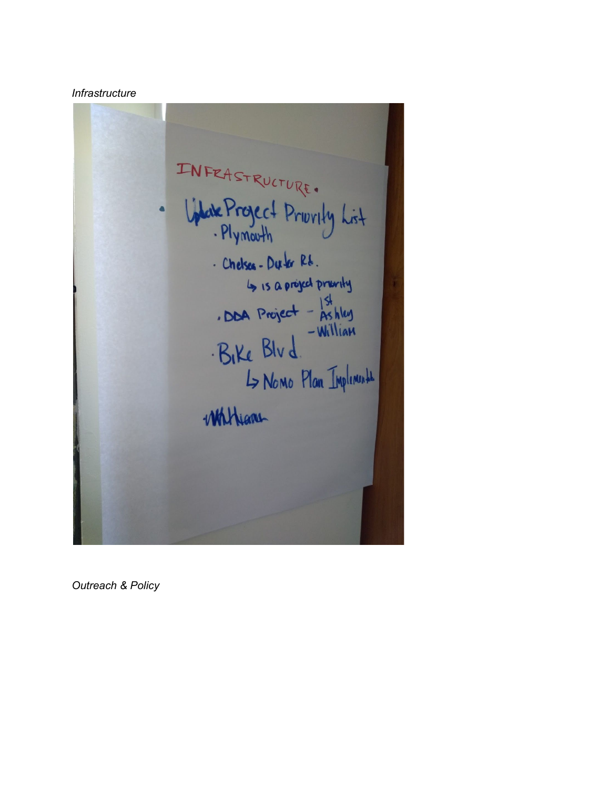## *Infrastructure*

INFRASTRUCTURE.<br>Under Project Privity List.<br>Plymouth.<br>Chekes-Dusler Rb. - Chelsen - Duter R&. 4 is a project pravily  $\text{SDBA Project} = \frac{154}{Ashley} = \frac{154}{186}$  $-Wi$ llian · Bike Blvd. L NOMO Plan Implement Whitewan

*Outreach & Policy*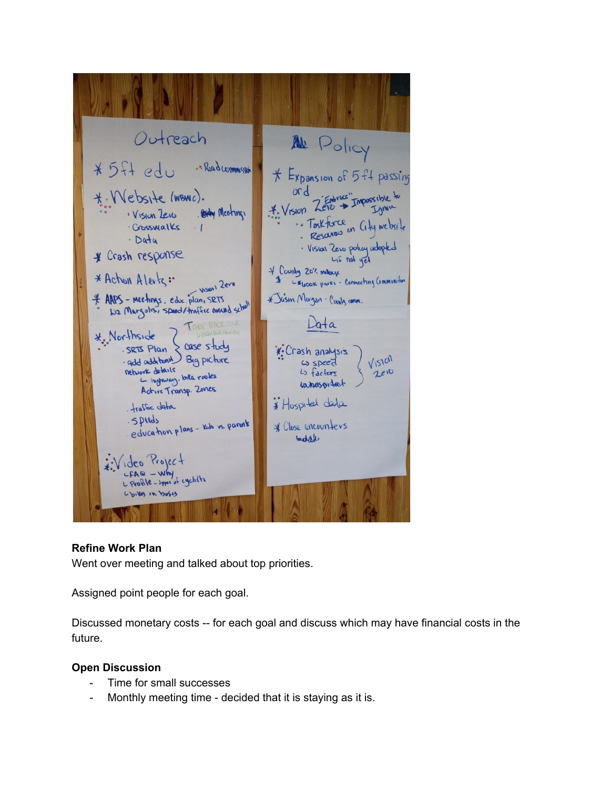Outreach No Policy \* 5ft edu .Road commission  $*$  Expansion of  $5 + 4$  passing  $ord$ ruce" Impossible to Vebsite (NBNC). Endruce" \* Vision Zero Igner Vision Zero Richy Meetings · Toskforce on City website ·· Toskforce Crosswalks  $\cdot$  1 · Data · Vision Zero policy adopted \* Crash response 4 County 201. Makaye \* Action Alerta: 1 - ELOOK parks - Connecting Communitor VISION Zero \* AAPS - Meetings, educ.plan, SRTS \* Jason Morgan - County comm. Liz Margolis, speed/traffic avenued schol Data \* Northside case study . SRTS Plan **X: Crash analysis**  $V1510n$ · add add tunn Big picture 4 speed network details look details<br>L hypuxy, bille routes  $2e10$  $L<sub>5</sub>$  factors tapaspitat Active Transp. Zones \* Hospital dela . traffic data spids Spieds<br>education plans - kds vs. parents \* Close encounters modate Ence Project<br>CAG - Why<br>Leogle-was of cyclists L'OILAS IN buses n

## **Refine Work Plan**

Went over meeting and talked about top priorities.

Assigned point people for each goal.

Discussed monetary costs -- for each goal and discuss which may have financial costs in the future.

# **Open Discussion**

- Time for small successes
- Monthly meeting time decided that it is staying as it is.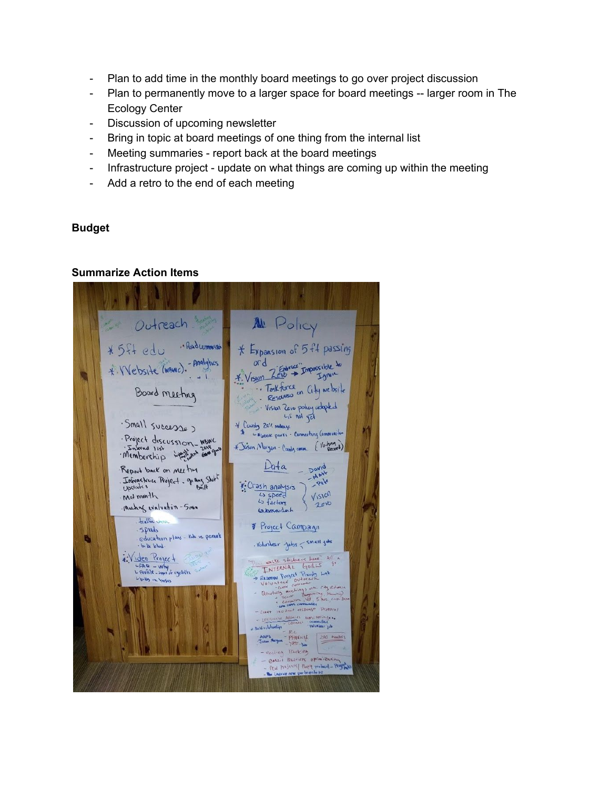- Plan to add time in the monthly board meetings to go over project discussion
- Plan to permanently move to a larger space for board meetings -- larger room in The Ecology Center
- Discussion of upcoming newsletter
- Bring in topic at board meetings of one thing from the internal list
- Meeting summaries report back at the board meetings
- Infrastructure project update on what things are coming up within the meeting
- Add a retro to the end of each meeting

## **Budget**

#### **Summarize Action Items**

No Policy Outreach Roadcommission \* 5ft edu \* Expansion of 5 ft passing T Expansion of 27+ passi<br>ord<br># Vision Zele = Impossible to<br>"Tokforce" ( Ju website \* Website (WBNC). - Analytics Forkforce on City website Board meeting Vision Zero policy adopted · Small successes of Country 20% makeupe Project discussion news<br>Enterna 1:21 - 2018<br>Membership + 2018 600 pm \* Juson Margan - County comm. (Vohna) David<br>- MANY  $Da4a$ Report back on mee tim Intrastruce Project - getting Shit Park X: Crash analysis VISION Mest month 45 factors  $2e10$ Muhay walvation - Sma *La hasantach* tratfac *Project Campagn* Spiras education plans - Rob vs. parents . Volunteer Jobs < small Jobs bike blud. West Strekers Line" All \*: Video Project  $\frac{4(1 - 1)}{90}$  $-$ Contract Capital Capital Strategy<br>
- Example Prince Capital Capital Strategy<br>
- Colonisation Computer Capital Capital Capital Capital Capital Capital Capital Capital Capital Capital Capital Capital Capital Capital Capi LFAQ - Why<br>LProfile-types of cyclists billes in border - Craft increase response Protocol craft incrome response province Build relationships Lus relations - Pilotine Job<br>- AAPS<br>- Susan Margar - PHBField - 200 Mouthis<br>- Susan Margar - PHBField - 200 Mouthis - Mecting Tracking - Bariel Piecescop primized and - Property